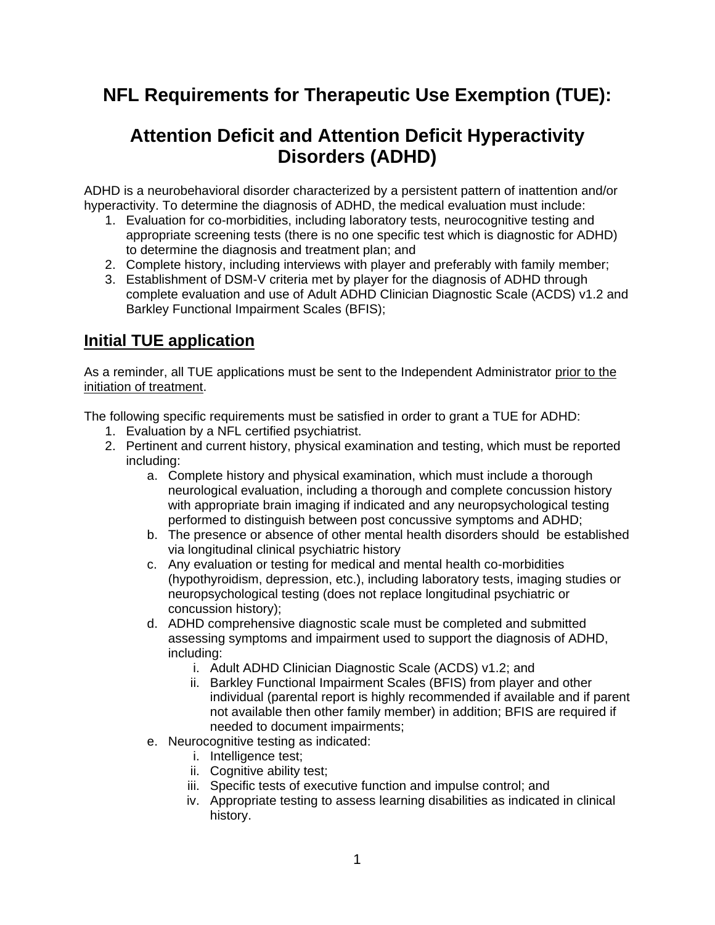## **NFL Requirements for Therapeutic Use Exemption (TUE):**

## **Attention Deficit and Attention Deficit Hyperactivity Disorders (ADHD)**

ADHD is a neurobehavioral disorder characterized by a persistent pattern of inattention and/or hyperactivity. To determine the diagnosis of ADHD, the medical evaluation must include:

- 1. Evaluation for co-morbidities, including laboratory tests, neurocognitive testing and appropriate screening tests (there is no one specific test which is diagnostic for ADHD) to determine the diagnosis and treatment plan; and
- 2. Complete history, including interviews with player and preferably with family member;
- 3. Establishment of DSM-V criteria met by player for the diagnosis of ADHD through complete evaluation and use of Adult ADHD Clinician Diagnostic Scale (ACDS) v1.2 and Barkley Functional Impairment Scales (BFIS);

## **Initial TUE application**

As a reminder, all TUE applications must be sent to the Independent Administrator prior to the initiation of treatment.

The following specific requirements must be satisfied in order to grant a TUE for ADHD:

- 1. Evaluation by a NFL certified psychiatrist.
- 2. Pertinent and current history, physical examination and testing, which must be reported including:
	- a. Complete history and physical examination, which must include a thorough neurological evaluation, including a thorough and complete concussion history with appropriate brain imaging if indicated and any neuropsychological testing performed to distinguish between post concussive symptoms and ADHD;
	- b. The presence or absence of other mental health disorders should be established via longitudinal clinical psychiatric history
	- c. Any evaluation or testing for medical and mental health co-morbidities (hypothyroidism, depression, etc.), including laboratory tests, imaging studies or neuropsychological testing (does not replace longitudinal psychiatric or concussion history);
	- d. ADHD comprehensive diagnostic scale must be completed and submitted assessing symptoms and impairment used to support the diagnosis of ADHD, including:
		- i. Adult ADHD Clinician Diagnostic Scale (ACDS) v1.2; and
		- ii. Barkley Functional Impairment Scales (BFIS) from player and other individual (parental report is highly recommended if available and if parent not available then other family member) in addition; BFIS are required if needed to document impairments;
	- e. Neurocognitive testing as indicated:
		- i. Intelligence test;
		- ii. Cognitive ability test;
		- iii. Specific tests of executive function and impulse control; and
		- iv. Appropriate testing to assess learning disabilities as indicated in clinical history.